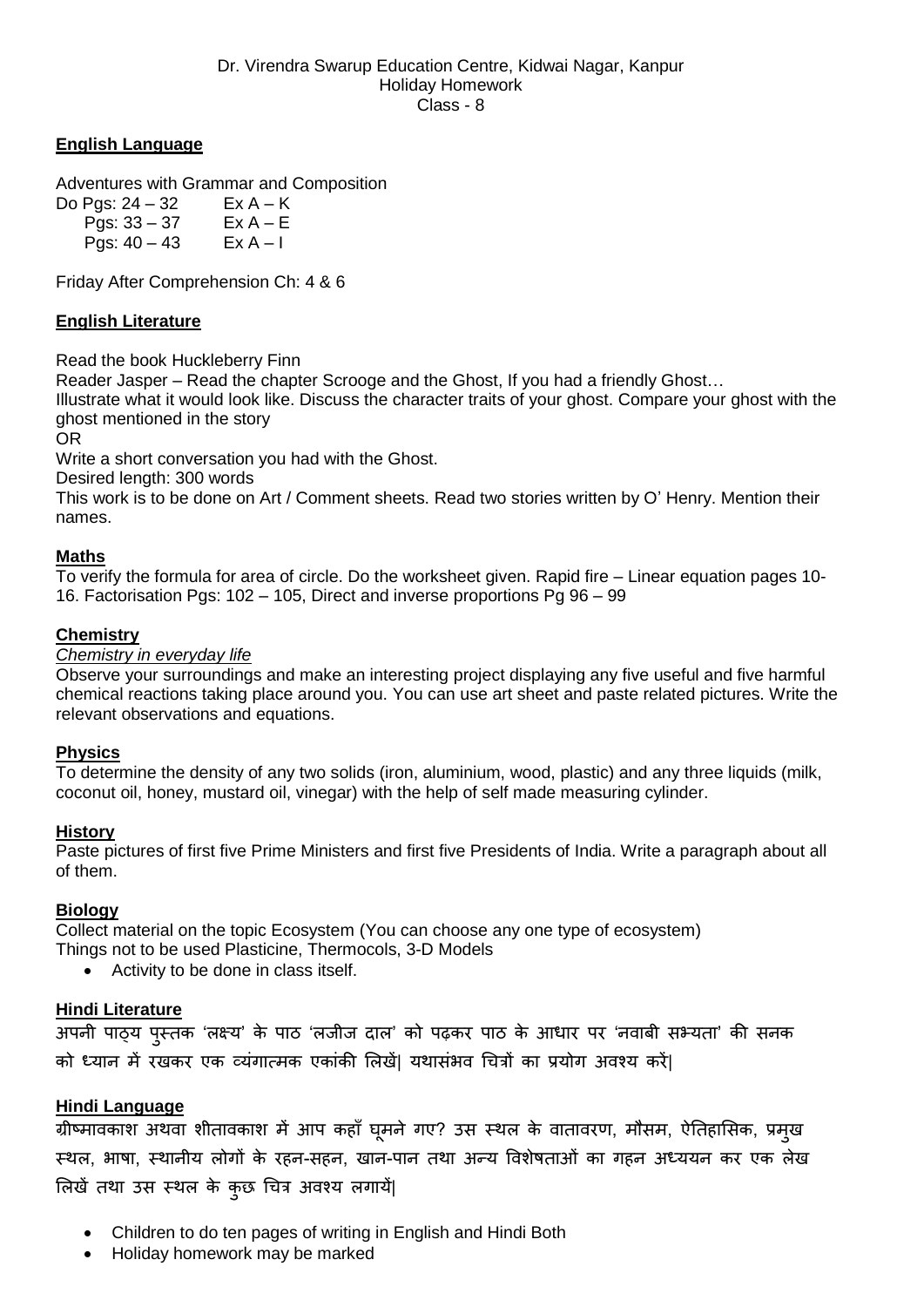## **English Language**

Adventures with Grammar and Composition

Do Pgs:  $24 - 32$  Ex A – K Pgs:  $33 - 37$  Ex A – E Pgs:  $40 - 43$  Ex A – I

Friday After Comprehension Ch: 4 & 6

### **English Literature**

Read the book Huckleberry Finn

Reader Jasper – Read the chapter Scrooge and the Ghost, If you had a friendly Ghost…

Illustrate what it would look like. Discuss the character traits of your ghost. Compare your ghost with the ghost mentioned in the story

OR

Write a short conversation you had with the Ghost.

Desired length: 300 words

This work is to be done on Art / Comment sheets. Read two stories written by O' Henry. Mention their names.

#### **Maths**

To verify the formula for area of circle. Do the worksheet given. Rapid fire – Linear equation pages 10- 16. Factorisation Pgs: 102 – 105, Direct and inverse proportions Pg 96 – 99

### **Chemistry**

*Chemistry in everyday life*

Observe your surroundings and make an interesting project displaying any five useful and five harmful chemical reactions taking place around you. You can use art sheet and paste related pictures. Write the relevant observations and equations.

### **Physics**

To determine the density of any two solids (iron, aluminium, wood, plastic) and any three liquids (milk, coconut oil, honey, mustard oil, vinegar) with the help of self made measuring cylinder.

#### **History**

Paste pictures of first five Prime Ministers and first five Presidents of India. Write a paragraph about all of them.

### **Biology**

Collect material on the topic Ecosystem (You can choose any one type of ecosystem) Things not to be used Plasticine, Thermocols, 3-D Models

• Activity to be done in class itself.

### **Hindi Literature**

अपनी पाठ्य पुस्तक 'लक्ष्य' के पाठ 'लजीज दाल' को पढ़कर पाठ के आधार पर 'नवाबी सभ्यता' की सनक को ध्यान में रखकर एक व्यंगात्मक एकांकी ललखें| यथासंभव चित्रों का प्रयोग अवश्य करें|

### **Hindi Language**

\_\_\_\_\_\_\_\_\_\_\_\_\_\_\_\_\_<br>ग्रीष्मावकाश अथवा शीतावकाश में आप कहाँ घूमने गए? उस स्थल के वातावरण, मौसम, ऐतिहासिक, प्रमुख स्थल, भाषा, स्थानीय लोगों के रहन-सहन, खान-पान तथा अन्य ववशेषताओं का गहन अध्ययन कर एक लेख ललखें तथा उस स्थल के कुछ चित्र अवश्य लगाय|ें

- Children to do ten pages of writing in English and Hindi Both
- Holiday homework may be marked